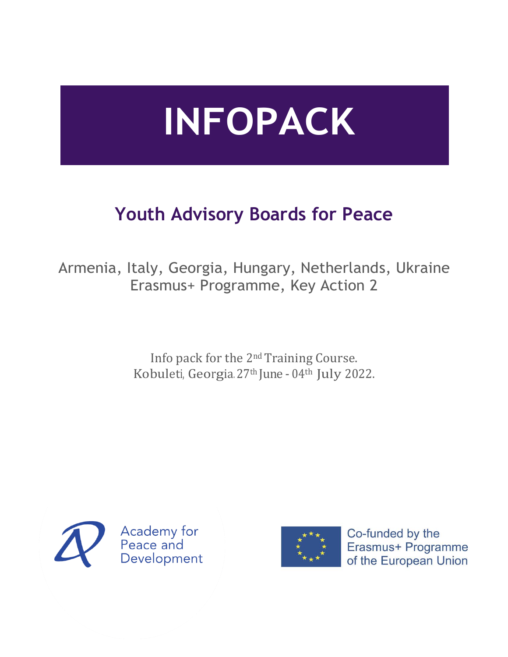# **INFOPACK**

## **Youth Advisory Boards for Peace**

Armenia, Italy, Georgia, Hungary, Netherlands, Ukraine Erasmus+ Programme, Key Action 2

> Info pack for the 2<sup>nd</sup> Training Course. Kobuleti, Georgia. 27th June - 04th July 2022.





Co-funded by the Erasmus+ Programme of the European Union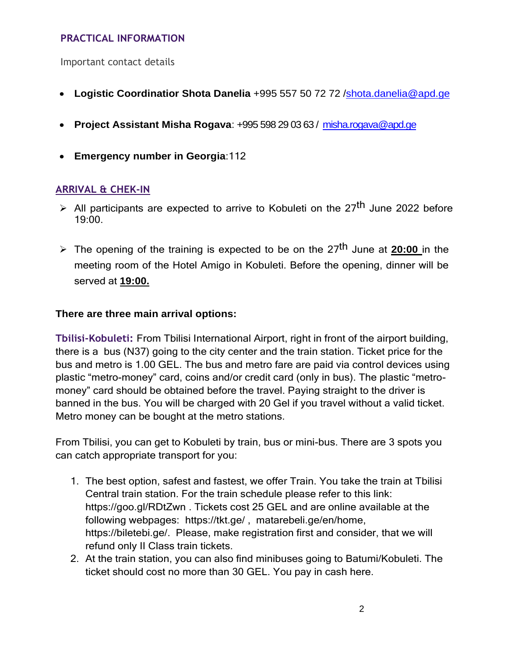#### **PRACTICAL INFORMATION**

Important contact details

- **Logistic Coordinatior Shota Danelia** +995 557 50 72 [72 /shota.danelia@apd.ge](mailto:72%20/%20shota.danelia@apd.ge)
- **Project Assistant Misha Rogava**: +995 598 29 03 63 / [misha.rogava@apd.ge](mailto:misha.rogava@apd.ge)
- **Emergency number in Georgia**:112

#### **ARRIVAL & CHEK-IN**

- > All participants are expected to arrive to Kobuleti on the 27<sup>th</sup> June 2022 before 19:00.
- ➢ The opening of the training is expected to be on the 27th June at **20:00** in the meeting room of the Hotel Amigo in Kobuleti. Before the opening, dinner will be served at **19:00.**

#### **There are three main arrival options:**

**Tbilisi-Kobuleti:** From Tbilisi International Airport, right in front of the airport building, there is a bus (N37) going to the city center and the train station. Ticket price for the bus and metro is 1.00 GEL. The bus and metro fare are paid via control devices using plastic "metro-money" card, coins and/or credit card (only in bus). The plastic "metromoney" card should be obtained before the travel. Paying straight to the driver is banned in the bus. You will be charged with 20 Gel if you travel without a valid ticket. Metro money can be bought at the metro stations.

From Tbilisi, you can get to Kobuleti by train, bus or mini-bus. There are 3 spots you can catch appropriate transport for you:

- 1. The best option, safest and fastest, we offer Train. You take the train at Tbilisi Central train station. For the train schedule please refer to this link: <https://goo.gl/RDtZwn> . Tickets cost 25 GEL and are online available at the following webpages: <https://tkt.ge/> , [matarebeli.ge/en/home,](http://www.matarebeli.ge/en/home) [https://biletebi.ge/.](https://biletebi.ge/) Please, make registration first and consider, that we will refund only II Class train tickets.
- 2. At the train station, you can also find minibuses going to Batumi/Kobuleti. The ticket should cost no more than 30 GEL. You pay in cash here.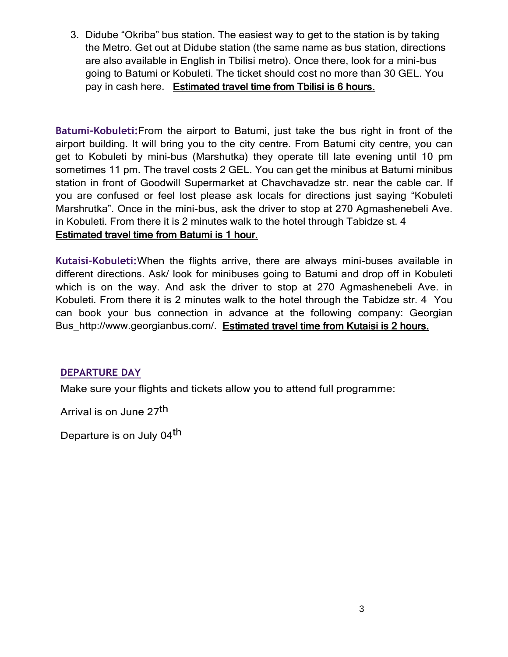3. Didube "Okriba" bus station. The easiest way to get to the station is by taking the Metro. Get out at Didube station (the same name as bus station, directions are also available in English in Tbilisi metro). Once there, look for a mini-bus going to Batumi or Kobuleti. The ticket should cost no more than 30 GEL. You pay in cash here. Estimated travel time from Tbilisi is 6 hours.

**Batumi-Kobuleti:**From the airport to Batumi, just take the bus right in front of the airport building. It will bring you to the city centre. From Batumi city centre, you can get to Kobuleti by mini-bus (Marshutka) they operate till late evening until 10 pm sometimes 11 pm. The travel costs 2 GEL. You can get the minibus at Batumi minibus station in front of Goodwill Supermarket at Chavchavadze str. near the cable car. If you are confused or feel lost please ask locals for directions just saying "Kobuleti Marshrutka". Once in the mini-bus, ask the driver to stop at 270 Agmashenebeli Ave. in Kobuleti. From there it is 2 minutes walk to the hotel through Tabidze st. 4 Estimated travel time from Batumi is 1 hour.

**Kutaisi-Kobuleti:**When the flights arrive, there are always mini-buses available in different directions. Ask/ look for minibuses going to Batumi and drop off in Kobuleti which is on the way. And ask the driver to stop at 270 Agmashenebeli Ave. in Kobuleti. From there it is 2 minutes walk to the hotel through the Tabidze str. 4 You can book your bus connection in advance at the following company: Georgian Bus http://www.georgianbus.com/. Estimated travel time from Kutaisi is 2 hours.

#### **DEPARTURE DAY**

Make sure your flights and tickets allow you to attend full programme:

Arrival is on June 27th

Departure is on July 04<sup>th</sup>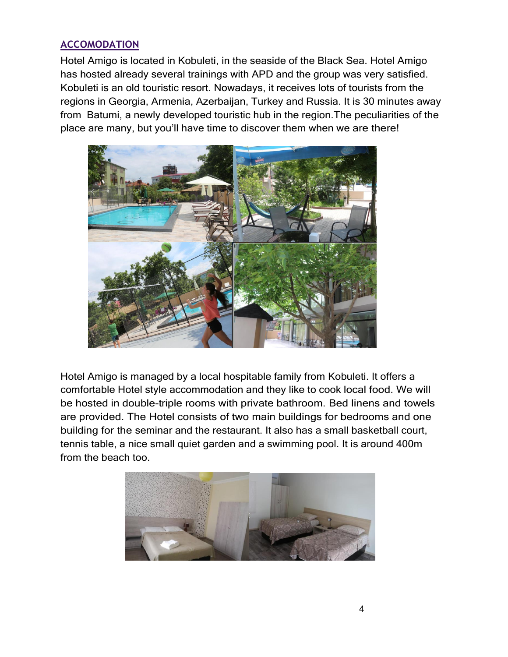#### **ACCOMODATION**

Hotel Amigo is located in Kobuleti, in the seaside of the Black Sea. Hotel Amigo has hosted already several trainings with APD and the group was very satisfied. Kobuleti is an old touristic resort. Nowadays, it receives lots of tourists from the regions in Georgia, Armenia, Azerbaijan, Turkey and Russia. It is 30 minutes away from Batumi, a newly developed touristic hub in the region.The peculiarities of the place are many, but you'll have time to discover them when we are there!



Hotel Amigo is managed by a local hospitable family from Kobuleti. It offers a comfortable Hotel style accommodation and they like to cook local food. We will be hosted in double-triple rooms with private bathroom. Bed linens and towels are provided. The Hotel consists of two main buildings for bedrooms and one building for the seminar and the restaurant. It also has a small basketball court, tennis table, a nice small quiet garden and a swimming pool. It is around 400m from the beach too.

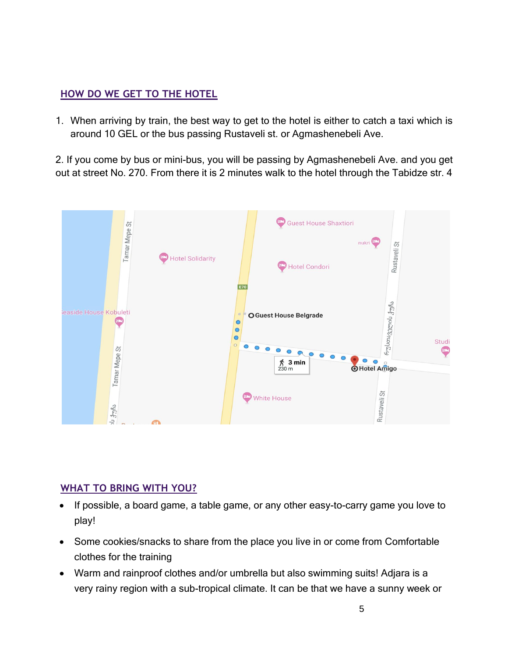#### **HOW DO WE GET TO THE HOTEL**

1. When arriving by train, the best way to get to the hotel is either to catch a taxi which is around 10 GEL or the bus passing Rustaveli st. or Agmashenebeli Ave.

2. If you come by bus or mini-bus, you will be passing by Agmashenebeli Ave. and you get out at street No. 270. From there it is 2 minutes walk to the hotel through the Tabidze str. 4



#### **WHAT TO BRING WITH YOU?**

- If possible, a board game, a table game, or any other easy-to-carry game you love to play!
- Some cookies/snacks to share from the place you live in or come from Comfortable clothes for the training
- Warm and rainproof clothes and/or umbrella but also swimming suits! Adjara is a very rainy region with a sub-tropical climate. It can be that we have a sunny week or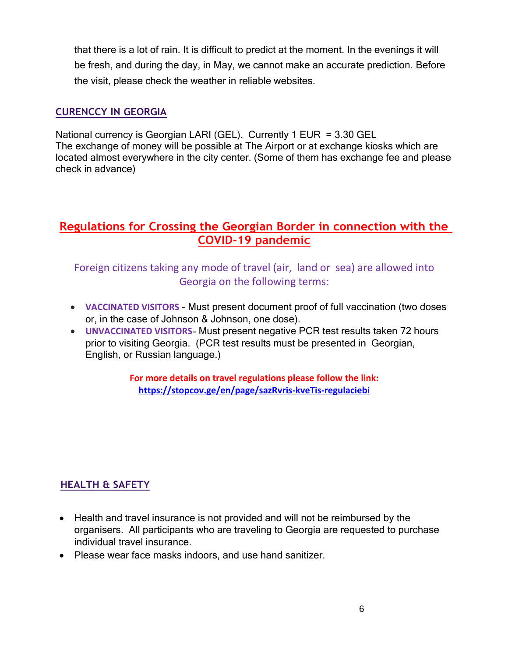that there is a lot of rain. It is difficult to predict at the moment. In the evenings it will be fresh, and during the day, in May, we cannot make an accurate prediction. Before the visit, please check the weather in reliable websites.

#### **CURENCCY IN GEORGIA**

National currency is Georgian LARI (GEL). Currently 1 EUR = 3.30 GEL The exchange of money will be possible at The Airport or at exchange kiosks which are located almost everywhere in the city center. (Some of them has exchange fee and please check in advance)

### **Regulations for Crossing the Georgian Border in connection with the COVID-19 pandemic**

Foreign citizens taking any mode of travel (air, land orsea) are allowed into Georgia on the following terms:

- **VACCINATED VISITORS** Must present document proof of full vaccination (two doses or, in the case of Johnson & Johnson, one dose).
- **UNVACCINATED VISITORS** Must present negative PCR test results taken 72 hours prior to visiting Georgia. (PCR test results must be presented in Georgian. English, or Russian language.)

**For more details on travel regulations please follow the link: <https://stopcov.ge/en/page/sazRvris-kveTis-regulaciebi>**

#### **HEALTH & SAFETY**

- Health and travel insurance is not provided and will not be reimbursed by the organisers. All participants who are traveling to Georgia are requested to purchase individual travel insurance.
- Please wear face masks indoors, and use hand sanitizer.